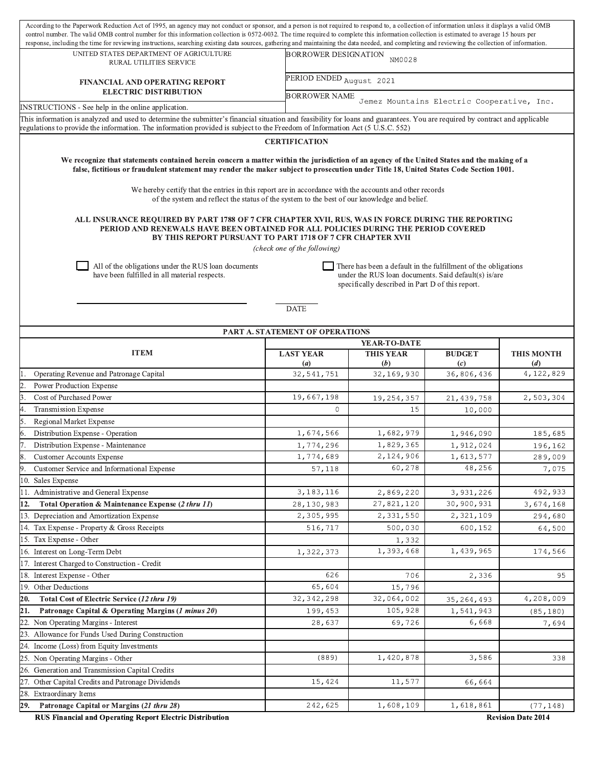| According to the Paperwork Reduction Act of 1995, an agency may not conduct or sponsor, and a person is not required to respond to, a collection of information unless it displays a valid OMB<br>control number. The valid OMB control number for this information collection is 0572-0032. The time required to complete this information collection is estimated to average 15 hours per<br>response, including the time for reviewing instructions, searching existing data sources, gathering and maintaining the data needed, and completing and reviewing the collection of information. |                                      |                                                                    |                                    |                   |  |  |  |  |  |  |
|-------------------------------------------------------------------------------------------------------------------------------------------------------------------------------------------------------------------------------------------------------------------------------------------------------------------------------------------------------------------------------------------------------------------------------------------------------------------------------------------------------------------------------------------------------------------------------------------------|--------------------------------------|--------------------------------------------------------------------|------------------------------------|-------------------|--|--|--|--|--|--|
| UNITED STATES DEPARTMENT OF AGRICULTURE<br>RURAL UTILITIES SERVICE                                                                                                                                                                                                                                                                                                                                                                                                                                                                                                                              |                                      | <b>BORROWER DESIGNATION</b><br>NM0028                              |                                    |                   |  |  |  |  |  |  |
| <b>FINANCIAL AND OPERATING REPORT</b><br><b>ELECTRIC DISTRIBUTION</b>                                                                                                                                                                                                                                                                                                                                                                                                                                                                                                                           |                                      | PERIOD ENDED August 2021                                           |                                    |                   |  |  |  |  |  |  |
| INSTRUCTIONS - See help in the online application.                                                                                                                                                                                                                                                                                                                                                                                                                                                                                                                                              |                                      | <b>BORROWER NAME</b><br>Jemez Mountains Electric Cooperative, Inc. |                                    |                   |  |  |  |  |  |  |
| This information is analyzed and used to determine the submitter's financial situation and feasibility for loans and guarantees. You are required by contract and applicable                                                                                                                                                                                                                                                                                                                                                                                                                    |                                      |                                                                    |                                    |                   |  |  |  |  |  |  |
| regulations to provide the information. The information provided is subject to the Freedom of Information Act (5 U.S.C. 552)                                                                                                                                                                                                                                                                                                                                                                                                                                                                    |                                      |                                                                    |                                    |                   |  |  |  |  |  |  |
| <b>CERTIFICATION</b>                                                                                                                                                                                                                                                                                                                                                                                                                                                                                                                                                                            |                                      |                                                                    |                                    |                   |  |  |  |  |  |  |
| We recognize that statements contained herein concern a matter within the jurisdiction of an agency of the United States and the making of a<br>false, fictitious or fraudulent statement may render the maker subject to prosecution under Title 18, United States Code Section 1001.                                                                                                                                                                                                                                                                                                          |                                      |                                                                    |                                    |                   |  |  |  |  |  |  |
| We hereby certify that the entries in this report are in accordance with the accounts and other records<br>of the system and reflect the status of the system to the best of our knowledge and belief.                                                                                                                                                                                                                                                                                                                                                                                          |                                      |                                                                    |                                    |                   |  |  |  |  |  |  |
| ALL INSURANCE REQUIRED BY PART 1788 OF 7 CFR CHAPTER XVII, RUS, WAS IN FORCE DURING THE REPORTING<br>PERIOD AND RENEWALS HAVE BEEN OBTAINED FOR ALL POLICIES DURING THE PERIOD COVERED<br>BY THIS REPORT PURSUANT TO PART 1718 OF 7 CFR CHAPTER XVII<br>(check one of the following)                                                                                                                                                                                                                                                                                                            |                                      |                                                                    |                                    |                   |  |  |  |  |  |  |
| All of the obligations under the RUS loan documents<br>There has been a default in the fulfillment of the obligations<br>have been fulfilled in all material respects.<br>under the RUS loan documents. Said default(s) is/are<br>specifically described in Part D of this report.                                                                                                                                                                                                                                                                                                              |                                      |                                                                    |                                    |                   |  |  |  |  |  |  |
| <b>DATE</b><br>PART A. STATEMENT OF OPERATIONS                                                                                                                                                                                                                                                                                                                                                                                                                                                                                                                                                  |                                      |                                                                    |                                    |                   |  |  |  |  |  |  |
|                                                                                                                                                                                                                                                                                                                                                                                                                                                                                                                                                                                                 |                                      | YEAR-TO-DATE                                                       |                                    |                   |  |  |  |  |  |  |
| <b>ITEM</b>                                                                                                                                                                                                                                                                                                                                                                                                                                                                                                                                                                                     | <b>LAST YEAR</b><br>$\left(a\right)$ | <b>THIS YEAR</b><br>(b)                                            | <b>BUDGET</b><br>$\left( c\right)$ | THIS MONTH<br>(d) |  |  |  |  |  |  |
| Operating Revenue and Patronage Capital                                                                                                                                                                                                                                                                                                                                                                                                                                                                                                                                                         | 32,541,751                           | 32,169,930                                                         | 36,806,436                         | 4,122,829         |  |  |  |  |  |  |
| Power Production Expense                                                                                                                                                                                                                                                                                                                                                                                                                                                                                                                                                                        |                                      |                                                                    |                                    |                   |  |  |  |  |  |  |
| Cost of Purchased Power                                                                                                                                                                                                                                                                                                                                                                                                                                                                                                                                                                         | 19,667,198                           | 19,254,357                                                         | 21, 439, 758                       | 2,503,304         |  |  |  |  |  |  |
| <b>Transmission Expense</b>                                                                                                                                                                                                                                                                                                                                                                                                                                                                                                                                                                     | $\Omega$                             | 15                                                                 | 10,000                             |                   |  |  |  |  |  |  |
| Regional Market Expense                                                                                                                                                                                                                                                                                                                                                                                                                                                                                                                                                                         |                                      |                                                                    |                                    |                   |  |  |  |  |  |  |
| Distribution Expense - Operation                                                                                                                                                                                                                                                                                                                                                                                                                                                                                                                                                                | 1,674,566                            | 1,682,979                                                          | 1,946,090                          | 185,685           |  |  |  |  |  |  |
| Distribution Expense - Maintenance                                                                                                                                                                                                                                                                                                                                                                                                                                                                                                                                                              | 1,774,296                            | 1,829,365                                                          | 1,912,024                          | 196,162           |  |  |  |  |  |  |
| <b>Customer Accounts Expense</b>                                                                                                                                                                                                                                                                                                                                                                                                                                                                                                                                                                | 1,774,689                            | 2,124,906                                                          | 1,613,577                          | 289,009           |  |  |  |  |  |  |
| Customer Service and Informational Expense                                                                                                                                                                                                                                                                                                                                                                                                                                                                                                                                                      | 57,118                               | 60,278                                                             | 48,256                             | 7,075             |  |  |  |  |  |  |
| 10. Sales Expense                                                                                                                                                                                                                                                                                                                                                                                                                                                                                                                                                                               |                                      |                                                                    |                                    |                   |  |  |  |  |  |  |
| 11. Administrative and General Expense                                                                                                                                                                                                                                                                                                                                                                                                                                                                                                                                                          | 3, 183, 116                          | 2,869,220                                                          | 3,931,226                          | 492,933           |  |  |  |  |  |  |
| Total Operation & Maintenance Expense (2 thru 11)<br>12.                                                                                                                                                                                                                                                                                                                                                                                                                                                                                                                                        | 28,130,983                           | 27,821,120                                                         | 30,900,931                         | 3,674,168         |  |  |  |  |  |  |
| 13. Depreciation and Amortization Expense                                                                                                                                                                                                                                                                                                                                                                                                                                                                                                                                                       | 2,305,995                            | 2,331,550                                                          | 2,321,109                          | 294,680           |  |  |  |  |  |  |
| 14. Tax Expense - Property & Gross Receipts                                                                                                                                                                                                                                                                                                                                                                                                                                                                                                                                                     | 516,717                              | 500,030                                                            | 600,152                            | 64,500            |  |  |  |  |  |  |
| 15. Tax Expense - Other                                                                                                                                                                                                                                                                                                                                                                                                                                                                                                                                                                         |                                      | 1,332                                                              |                                    |                   |  |  |  |  |  |  |
| 16. Interest on Long-Term Debt                                                                                                                                                                                                                                                                                                                                                                                                                                                                                                                                                                  | 1,322,373                            | 1,393,468                                                          | 1,439,965                          | 174,566           |  |  |  |  |  |  |
| 17. Interest Charged to Construction - Credit                                                                                                                                                                                                                                                                                                                                                                                                                                                                                                                                                   |                                      |                                                                    |                                    |                   |  |  |  |  |  |  |
| 18. Interest Expense - Other                                                                                                                                                                                                                                                                                                                                                                                                                                                                                                                                                                    | 626<br>65,604                        | 706                                                                | 2,336                              | 95                |  |  |  |  |  |  |
| 19. Other Deductions                                                                                                                                                                                                                                                                                                                                                                                                                                                                                                                                                                            |                                      | 15,796<br>32,064,002                                               |                                    |                   |  |  |  |  |  |  |
| Total Cost of Electric Service (12 thru 19)<br>20.                                                                                                                                                                                                                                                                                                                                                                                                                                                                                                                                              | 32,342,298                           | 105,928                                                            | 35, 264, 493                       | 4,208,009         |  |  |  |  |  |  |
| Patronage Capital & Operating Margins (1 minus 20)<br>21.<br>22. Non Operating Margins - Interest                                                                                                                                                                                                                                                                                                                                                                                                                                                                                               | 199,453<br>28,637                    | 69,726                                                             | 1,541,943<br>6,668                 | (85, 180)         |  |  |  |  |  |  |
| 23. Allowance for Funds Used During Construction                                                                                                                                                                                                                                                                                                                                                                                                                                                                                                                                                |                                      |                                                                    |                                    | 7,694             |  |  |  |  |  |  |
| 24. Income (Loss) from Equity Investments                                                                                                                                                                                                                                                                                                                                                                                                                                                                                                                                                       |                                      |                                                                    |                                    |                   |  |  |  |  |  |  |
| 25. Non Operating Margins - Other                                                                                                                                                                                                                                                                                                                                                                                                                                                                                                                                                               | (889)                                | 1,420,878                                                          | 3,586                              | 338               |  |  |  |  |  |  |
| 26. Generation and Transmission Capital Credits                                                                                                                                                                                                                                                                                                                                                                                                                                                                                                                                                 |                                      |                                                                    |                                    |                   |  |  |  |  |  |  |
| 27. Other Capital Credits and Patronage Dividends                                                                                                                                                                                                                                                                                                                                                                                                                                                                                                                                               | 15,424                               | 11,577                                                             | 66,664                             |                   |  |  |  |  |  |  |
| 28. Extraordinary Items                                                                                                                                                                                                                                                                                                                                                                                                                                                                                                                                                                         |                                      |                                                                    |                                    |                   |  |  |  |  |  |  |
|                                                                                                                                                                                                                                                                                                                                                                                                                                                                                                                                                                                                 |                                      |                                                                    |                                    |                   |  |  |  |  |  |  |
| Patronage Capital or Margins (21 thru 28)<br>29.                                                                                                                                                                                                                                                                                                                                                                                                                                                                                                                                                | 242,625                              | 1,608,109                                                          | 1,618,861                          | (77, 148)         |  |  |  |  |  |  |

**RUS Financial and Operating Report Electric Distribution**